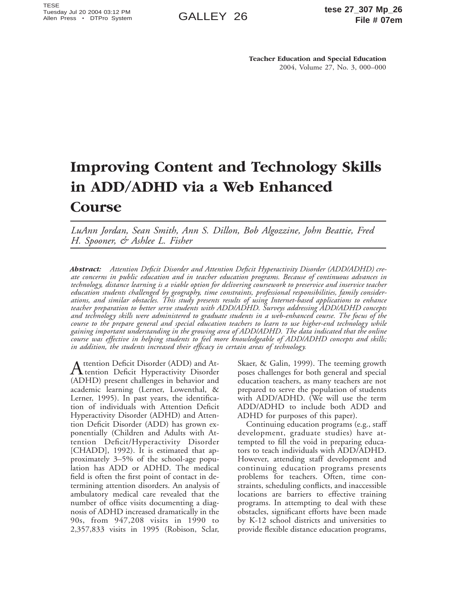**Teacher Education and Special Education** 2004, Volume 27, No. 3, 000–000

# **Improving Content and Technology Skills in ADD/ADHD via a Web Enhanced Course**

*LuAnn Jordan, Sean Smith, Ann S. Dillon, Bob Algozzine, John Beattie, Fred H. Spooner, & Ashlee L. Fisher*

*Abstract: Attention Deficit Disorder and Attention Deficit Hyperactivity Disorder (ADD/ADHD) create concerns in public education and in teacher education programs. Because of continuous advances in technology, distance learning is a viable option for delivering coursework to preservice and inservice teacher education students challenged by geography, time constraints, professional responsibilities, family considerations, and similar obstacles. This study presents results of using Internet-based applications to enhance teacher preparation to better serve students with ADD/ADHD. Surveys addressing ADD/ADHD concepts and technology skills were administered to graduate students in a web-enhanced course. The focus of the course to the prepare general and special education teachers to learn to use higher-end technology while gaining important understanding in the growing area of ADD/ADHD. The data indicated that the online course was effective in helping students to feel more knowledgeable of ADD/ADHD concepts and skills; in addition, the students increased their efficacy in certain areas of technology.*

A ttention Deficit Disorder (ADD) and At-<br>(ADUD) (ADHD) present challenges in behavior and academic learning (Lerner, Lowenthal, & Lerner, 1995). In past years, the identification of individuals with Attention Deficit Hyperactivity Disorder (ADHD) and Attention Deficit Disorder (ADD) has grown exponentially (Children and Adults with Attention Deficit/Hyperactivity Disorder [CHADD], 1992). It is estimated that approximately 3–5% of the school-age population has ADD or ADHD. The medical field is often the first point of contact in determining attention disorders. An analysis of ambulatory medical care revealed that the number of office visits documenting a diagnosis of ADHD increased dramatically in the 90s, from 947,208 visits in 1990 to 2,357,833 visits in 1995 (Robison, Sclar,

Skaer, & Galin, 1999). The teeming growth poses challenges for both general and special education teachers, as many teachers are not prepared to serve the population of students with ADD/ADHD. (We will use the term ADD/ADHD to include both ADD and ADHD for purposes of this paper).

Continuing education programs (e.g., staff development, graduate studies) have attempted to fill the void in preparing educators to teach individuals with ADD/ADHD. However, attending staff development and continuing education programs presents problems for teachers. Often, time constraints, scheduling conflicts, and inaccessible locations are barriers to effective training programs. In attempting to deal with these obstacles, significant efforts have been made by K-12 school districts and universities to provide flexible distance education programs,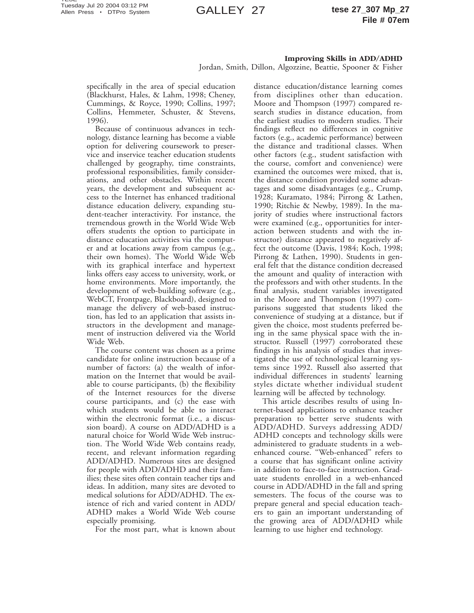ᆫᇰᆫ Tuesday Jul 20 2004 03:12 PM Allen Press • DTPro System GALLEY 27 **tese 27\_307 Mp\_27**

### **Improving Skills in ADD/ADHD**

Jordan, Smith, Dillon, Algozzine, Beattie, Spooner & Fisher

specifically in the area of special education (Blackhurst, Hales, & Lahm, 1998; Cheney, Cummings, & Royce, 1990; Collins, 1997; Collins, Hemmeter, Schuster, & Stevens, 1996).

Because of continuous advances in technology, distance learning has become a viable option for delivering coursework to preservice and inservice teacher education students challenged by geography, time constraints, professional responsibilities, family considerations, and other obstacles. Within recent years, the development and subsequent access to the Internet has enhanced traditional distance education delivery, expanding student-teacher interactivity. For instance, the tremendous growth in the World Wide Web offers students the option to participate in distance education activities via the computer and at locations away from campus (e.g., their own homes). The World Wide Web with its graphical interface and hypertext links offers easy access to university, work, or home environments. More importantly, the development of web-building software (e.g., WebCT, Frontpage, Blackboard), designed to manage the delivery of web-based instruction, has led to an application that assists instructors in the development and management of instruction delivered via the World Wide Web.

The course content was chosen as a prime candidate for online instruction because of a number of factors: (a) the wealth of information on the Internet that would be available to course participants, (b) the flexibility of the Internet resources for the diverse course participants, and (c) the ease with which students would be able to interact within the electronic format (i.e., a discussion board). A course on ADD/ADHD is a natural choice for World Wide Web instruction. The World Wide Web contains ready, recent, and relevant information regarding ADD/ADHD. Numerous sites are designed for people with ADD/ADHD and their families; these sites often contain teacher tips and ideas. In addition, many sites are devoted to medical solutions for ADD/ADHD. The existence of rich and varied content in ADD/ ADHD makes a World Wide Web course especially promising.

For the most part, what is known about

distance education/distance learning comes from disciplines other than education. Moore and Thompson (1997) compared research studies in distance education, from the earliest studies to modern studies. Their findings reflect no differences in cognitive factors (e.g., academic performance) between the distance and traditional classes. When other factors (e.g., student satisfaction with the course, comfort and convenience) were examined the outcomes were mixed, that is, the distance condition provided some advantages and some disadvantages (e.g., Crump, 1928; Kuramato, 1984; Pirrong & Lathen, 1990; Ritchie & Newby, 1989). In the majority of studies where instructional factors were examined (e.g., opportunities for interaction between students and with the instructor) distance appeared to negatively affect the outcome (Davis, 1984; Koch, 1998; Pirrong & Lathen, 1990). Students in general felt that the distance condition decreased the amount and quality of interaction with the professors and with other students. In the final analysis, student variables investigated in the Moore and Thompson (1997) comparisons suggested that students liked the convenience of studying at a distance, but if given the choice, most students preferred being in the same physical space with the instructor. Russell (1997) corroborated these findings in his analysis of studies that investigated the use of technological learning systems since 1992. Russell also asserted that individual differences in students' learning styles dictate whether individual student learning will be affected by technology.

This article describes results of using Internet-based applications to enhance teacher preparation to better serve students with ADD/ADHD. Surveys addressing ADD/ ADHD concepts and technology skills were administered to graduate students in a webenhanced course. ''Web-enhanced'' refers to a course that has significant online activity in addition to face-to-face instruction. Graduate students enrolled in a web-enhanced course in ADD/ADHD in the fall and spring semesters. The focus of the course was to prepare general and special education teachers to gain an important understanding of the growing area of ADD/ADHD while learning to use higher end technology.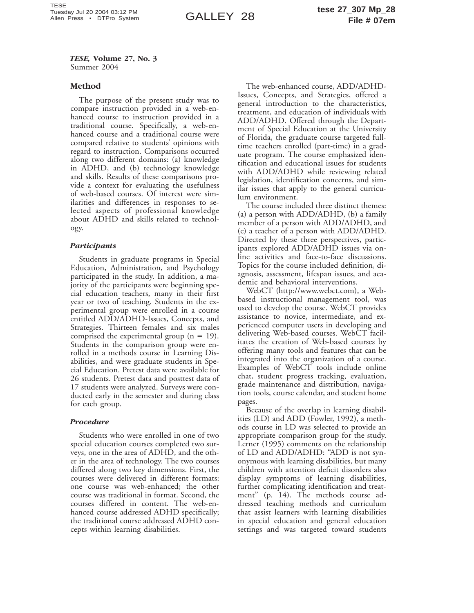*TESE,* **Volume 27, No. 3** Summer 2004

### **Method**

The purpose of the present study was to compare instruction provided in a web-enhanced course to instruction provided in a traditional course. Specifically, a web-enhanced course and a traditional course were compared relative to students' opinions with regard to instruction. Comparisons occurred along two different domains: (a) knowledge in ADHD, and (b) technology knowledge and skills. Results of these comparisons provide a context for evaluating the usefulness of web-based courses. Of interest were similarities and differences in responses to selected aspects of professional knowledge about ADHD and skills related to technology.

### *Participants*

Students in graduate programs in Special Education, Administration, and Psychology participated in the study. In addition, a majority of the participants were beginning special education teachers, many in their first year or two of teaching. Students in the experimental group were enrolled in a course entitled ADD/ADHD-Issues, Concepts, and Strategies. Thirteen females and six males comprised the experimental group ( $n = 19$ ). Students in the comparison group were enrolled in a methods course in Learning Disabilities, and were graduate students in Special Education. Pretest data were available for 26 students. Pretest data and posttest data of 17 students were analyzed. Surveys were conducted early in the semester and during class for each group.

### *Procedure*

Students who were enrolled in one of two special education courses completed two surveys, one in the area of ADHD, and the other in the area of technology. The two courses differed along two key dimensions. First, the courses were delivered in different formats: one course was web-enhanced; the other course was traditional in format. Second, the courses differed in content. The web-enhanced course addressed ADHD specifically; the traditional course addressed ADHD concepts within learning disabilities.

The web-enhanced course, ADD/ADHD-Issues, Concepts, and Strategies, offered a general introduction to the characteristics, treatment, and education of individuals with ADD/ADHD. Offered through the Department of Special Education at the University of Florida, the graduate course targeted fulltime teachers enrolled (part-time) in a graduate program. The course emphasized identification and educational issues for students with ADD/ADHD while reviewing related legislation, identification concerns, and similar issues that apply to the general curriculum environment.

The course included three distinct themes: (a) a person with ADD/ADHD, (b) a family member of a person with ADD/ADHD, and (c) a teacher of a person with ADD/ADHD. Directed by these three perspectives, participants explored ADD/ADHD issues via online activities and face-to-face discussions. Topics for the course included definition, diagnosis, assessment, lifespan issues, and academic and behavioral interventions.

WebCT (http://www.webct.com), a Webbased instructional management tool, was used to develop the course. WebCT provides assistance to novice, intermediate, and experienced computer users in developing and delivering Web-based courses. WebCT facilitates the creation of Web-based courses by offering many tools and features that can be integrated into the organization of a course. Examples of WebCT tools include online chat, student progress tracking, evaluation, grade maintenance and distribution, navigation tools, course calendar, and student home pages.

Because of the overlap in learning disabilities (LD) and ADD (Fowler, 1992), a methods course in LD was selected to provide an appropriate comparison group for the study. Lerner (1995) comments on the relationship of LD and ADD/ADHD: "ADD is not synonymous with learning disabilities, but many children with attention deficit disorders also display symptoms of learning disabilities, further complicating identification and treatment'' (p. 14). The methods course addressed teaching methods and curriculum that assist learners with learning disabilities in special education and general education settings and was targeted toward students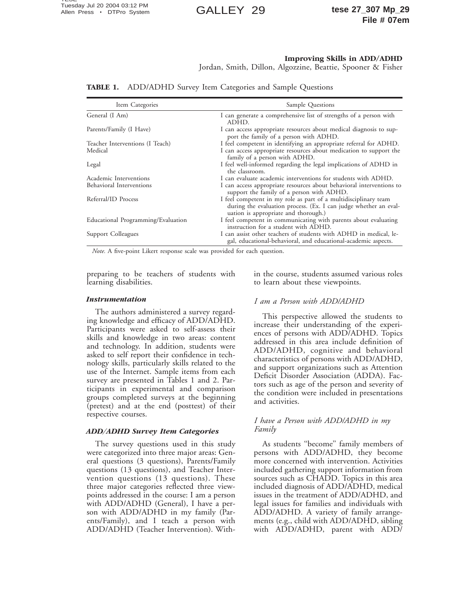### **Improving Skills in ADD/ADHD**

Jordan, Smith, Dillon, Algozzine, Beattie, Spooner & Fisher

| Item Categories                    | Sample Questions                                                                                                                                                            |
|------------------------------------|-----------------------------------------------------------------------------------------------------------------------------------------------------------------------------|
| General (I Am)                     | I can generate a comprehensive list of strengths of a person with<br>ADHD.                                                                                                  |
| Parents/Family (I Have)            | I can access appropriate resources about medical diagnosis to sup-<br>port the family of a person with ADHD.                                                                |
| Teacher Interventions (I Teach)    | I feel competent in identifying an appropriate referral for ADHD.                                                                                                           |
| Medical                            | I can access appropriate resources about medication to support the<br>family of a person with ADHD.                                                                         |
| Legal                              | I feel well-informed regarding the legal implications of ADHD in<br>the classroom.                                                                                          |
| Academic Interventions             | I can evaluate academic interventions for students with ADHD.                                                                                                               |
| Behavioral Interventions           | I can access appropriate resources about behavioral interventions to<br>support the family of a person with ADHD.                                                           |
| Referral/ID Process                | I feel competent in my role as part of a multidisciplinary team<br>during the evaluation process. (Ex. I can judge whether an eval-<br>uation is appropriate and thorough.) |
| Educational Programming/Evaluation | I feel competent in communicating with parents about evaluating<br>instruction for a student with ADHD.                                                                     |
| Support Colleagues                 | I can assist other teachers of students with ADHD in medical, le-<br>gal, educational-behavioral, and educational-academic aspects.                                         |

### **TABLE 1.** ADD/ADHD Survey Item Categories and Sample Questions

*Note.* A five-point Likert response scale was provided for each question.

preparing to be teachers of students with learning disabilities.

### *Instrumentation*

The authors administered a survey regarding knowledge and efficacy of ADD/ADHD. Participants were asked to self-assess their skills and knowledge in two areas: content and technology. In addition, students were asked to self report their confidence in technology skills, particularly skills related to the use of the Internet. Sample items from each survey are presented in Tables 1 and 2. Participants in experimental and comparison groups completed surveys at the beginning (pretest) and at the end (posttest) of their respective courses.

### *ADD/ADHD Survey Item Categories*

The survey questions used in this study were categorized into three major areas: General questions (3 questions), Parents/Family questions (13 questions), and Teacher Intervention questions (13 questions). These three major categories reflected three viewpoints addressed in the course: I am a person with ADD/ADHD (General), I have a person with ADD/ADHD in my family (Parents/Family), and I teach a person with ADD/ADHD (Teacher Intervention). Within the course, students assumed various roles to learn about these viewpoints.

### *I am a Person with ADD/ADHD*

This perspective allowed the students to increase their understanding of the experiences of persons with ADD/ADHD. Topics addressed in this area include definition of ADD/ADHD, cognitive and behavioral characteristics of persons with ADD/ADHD, and support organizations such as Attention Deficit Disorder Association (ADDA). Factors such as age of the person and severity of the condition were included in presentations and activities.

### *I have a Person with ADD/ADHD in my Family*

As students ''become'' family members of persons with ADD/ADHD, they become more concerned with intervention. Activities included gathering support information from sources such as CHADD. Topics in this area included diagnosis of ADD/ADHD, medical issues in the treatment of ADD/ADHD, and legal issues for families and individuals with ADD/ADHD. A variety of family arrangements (e.g., child with ADD/ADHD, sibling with ADD/ADHD, parent with ADD/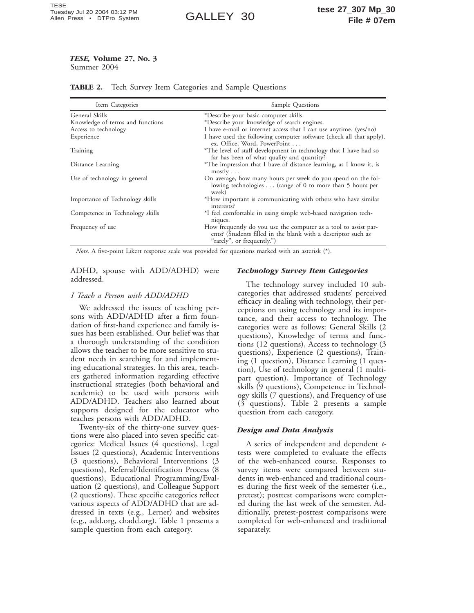### *TESE,* **Volume 27, No. 3**

Summer 2004

| TABLE 2. Tech Survey Item Categories and Sample Questions |  |  |  |  |  |  |  |
|-----------------------------------------------------------|--|--|--|--|--|--|--|
|-----------------------------------------------------------|--|--|--|--|--|--|--|

| Item Categories                  | Sample Questions                                                                                                                                               |
|----------------------------------|----------------------------------------------------------------------------------------------------------------------------------------------------------------|
| General Skills                   | *Describe your basic computer skills.                                                                                                                          |
| Knowledge of terms and functions | *Describe your knowledge of search engines.                                                                                                                    |
| Access to technology             | I have e-mail or internet access that I can use anytime. (yes/no)                                                                                              |
| Experience                       | I have used the following computer software (check all that apply).<br>ex. Office, Word, PowerPoint                                                            |
| Training                         | *The level of staff development in technology that I have had so<br>far has been of what quality and quantity?                                                 |
| Distance Learning                | *The impression that I have of distance learning, as I know it, is<br>mostly                                                                                   |
| Use of technology in general     | On average, how many hours per week do you spend on the fol-<br>lowing technologies (range of 0 to more than 5 hours per<br>week)                              |
| Importance of Technology skills  | *How important is communicating with others who have similar<br>interests?                                                                                     |
| Competence in Technology skills  | *I feel comfortable in using simple web-based navigation tech-<br>niques.                                                                                      |
| Frequency of use                 | How frequently do you use the computer as a tool to assist par-<br>ents? (Students filled in the blank with a descriptor such as<br>"rarely", or frequently.") |

*Note.* A five-point Likert response scale was provided for questions marked with an asterisk (\*).

ADHD, spouse with ADD/ADHD) were addressed.

### *I Teach a Person with ADD/ADHD*

We addressed the issues of teaching persons with ADD/ADHD after a firm foundation of first-hand experience and family issues has been established. Our belief was that a thorough understanding of the condition allows the teacher to be more sensitive to student needs in searching for and implementing educational strategies. In this area, teachers gathered information regarding effective instructional strategies (both behavioral and academic) to be used with persons with ADD/ADHD. Teachers also learned about supports designed for the educator who teaches persons with ADD/ADHD.

Twenty-six of the thirty-one survey questions were also placed into seven specific categories: Medical Issues (4 questions), Legal Issues (2 questions), Academic Interventions (3 questions), Behavioral Interventions (3 questions), Referral/Identification Process (8 questions), Educational Programming/Evaluation (2 questions), and Colleague Support (2 questions). These specific categories reflect various aspects of ADD/ADHD that are addressed in texts (e.g., Lerner) and websites (e.g., add.org, chadd.org). Table 1 presents a sample question from each category.

### *Technology Survey Item Categories*

The technology survey included 10 subcategories that addressed students' perceived efficacy in dealing with technology, their perceptions on using technology and its importance, and their access to technology. The categories were as follows: General Skills (2 questions), Knowledge of terms and functions (12 questions), Access to technology (3 questions), Experience (2 questions), Training (1 question), Distance Learning (1 question), Use of technology in general (1 multipart question), Importance of Technology skills (9 questions), Competence in Technology skills (7 questions), and Frequency of use (3 questions). Table 2 presents a sample question from each category.

### *Design and Data Analysis*

A series of independent and dependent *t*tests were completed to evaluate the effects of the web-enhanced course. Responses to survey items were compared between students in web-enhanced and traditional courses during the first week of the semester (i.e., pretest); posttest comparisons were completed during the last week of the semester. Additionally, pretest-posttest comparisons were completed for web-enhanced and traditional separately.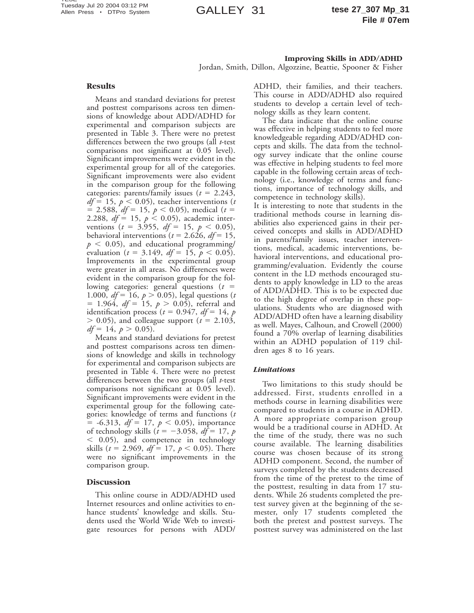# **Improving Skills in ADD/ADHD**

Jordan, Smith, Dillon, Algozzine, Beattie, Spooner & Fisher

### **Results**

Means and standard deviations for pretest and posttest comparisons across ten dimensions of knowledge about ADD/ADHD for experimental and comparison subjects are presented in Table 3. There were no pretest differences between the two groups (all *t*-test comparisons not significant at 0.05 level). Significant improvements were evident in the experimental group for all of the categories. Significant improvements were also evident in the comparison group for the following categories: parents/family issues  $(t = 2.243,$  $df = 15$ ,  $p < 0.05$ ), teacher interventions (*t*  $=$  2.588, *df* = 15, *p* < 0.05), medical (*t* = 2.288,  $df = 15$ ,  $p < 0.05$ ), academic interventions ( $t = 3.955$ ,  $df = 15$ ,  $p < 0.05$ ), behavioral interventions ( $t = 2.626$ ,  $df = 15$ ,  $p < 0.05$ ), and educational programming/ evaluation ( $t = 3.149$ ,  $df = 15$ ,  $p < 0.05$ ). Improvements in the experimental group were greater in all areas. No differences were evident in the comparison group for the following categories: general questions  $(t =$ 1.000,  $df = 16$ ,  $p > 0.05$ ), legal questions (*t*  $= 1.964$ ,  $df = 15$ ,  $p > 0.05$ ), referral and identification process ( $t = 0.947$ ,  $df = 14$ ,  $p$  $> 0.05$ ), and colleague support ( $t = 2.103$ ,  $df = 14$ ,  $p > 0.05$ ).

Means and standard deviations for pretest and posttest comparisons across ten dimensions of knowledge and skills in technology for experimental and comparison subjects are presented in Table 4. There were no pretest differences between the two groups (all *t*-test comparisons not significant at 0.05 level). Significant improvements were evident in the experimental group for the following categories: knowledge of terms and functions (*t*  $= -6.313, df = 17, p < 0.05$ , importance of technology skills ( $\bar{t}$  = -3.058,  $d\bar{f}$  = 17,  $p$  $<$  0.05), and competence in technology skills ( $t = 2.969$ ,  $df = 17$ ,  $p < 0.05$ ). There were no significant improvements in the comparison group.

### **Discussion**

This online course in ADD/ADHD used Internet resources and online activities to enhance students' knowledge and skills. Students used the World Wide Web to investigate resources for persons with ADD/

ADHD, their families, and their teachers. This course in ADD/ADHD also required students to develop a certain level of technology skills as they learn content.

The data indicate that the online course was effective in helping students to feel more knowledgeable regarding ADD/ADHD concepts and skills. The data from the technology survey indicate that the online course was effective in helping students to feel more capable in the following certain areas of technology (i.e., knowledge of terms and functions, importance of technology skills, and competence in technology skills).

It is interesting to note that students in the traditional methods course in learning disabilities also experienced gains in their perceived concepts and skills in ADD/ADHD in parents/family issues, teacher interventions, medical, academic interventions, behavioral interventions, and educational programming/evaluation. Evidently the course content in the LD methods encouraged students to apply knowledge in LD to the areas of ADD/ADHD. This is to be expected due to the high degree of overlap in these populations. Students who are diagnosed with ADD/ADHD often have a learning disability as well. Mayes, Calhoun, and Crowell (2000) found a 70% overlap of learning disabilities within an ADHD population of 119 children ages 8 to 16 years.

### *Limitations*

Two limitations to this study should be addressed. First, students enrolled in a methods course in learning disabilities were compared to students in a course in ADHD. A more appropriate comparison group would be a traditional course in ADHD. At the time of the study, there was no such course available. The learning disabilities course was chosen because of its strong ADHD component. Second, the number of surveys completed by the students decreased from the time of the pretest to the time of the posttest, resulting in data from 17 students. While 26 students completed the pretest survey given at the beginning of the semester, only 17 students completed the both the pretest and posttest surveys. The posttest survey was administered on the last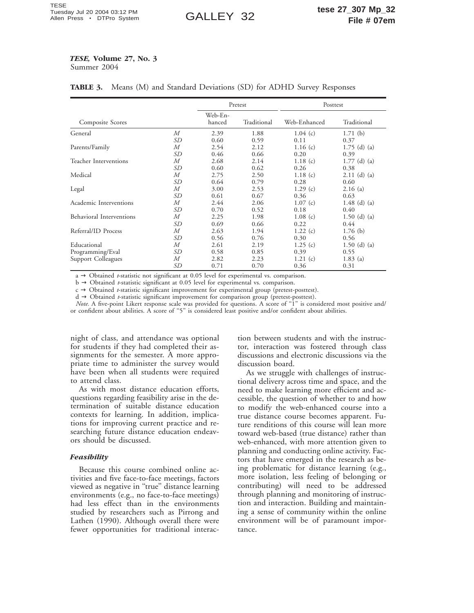### *TESE,* **Volume 27, No. 3**

Summer 2004

|                          |    |                   | Pretest     | Posttest     |                |  |
|--------------------------|----|-------------------|-------------|--------------|----------------|--|
| Composite Scores         |    | Web-En-<br>hanced | Traditional | Web-Enhanced | Traditional    |  |
| General                  | М  | 2.39              | 1.88        | $1.04$ (c)   | 1.71~(b)       |  |
|                          | SD | 0.60              | 0.59        | 0.11         | 0.37           |  |
| Parents/Family           | М  | 2.54              | 2.12        | 1.16(c)      | 1.75 (d) (a)   |  |
|                          | SD | 0.46              | 0.66        | 0.20         | 0.39           |  |
| Teacher Interventions    | М  | 2.68              | 2.14        | 1.18(c)      | $1.77$ (d) (a) |  |
|                          | SD | 0.60              | 0.62        | 0.26         | 0.38           |  |
| Medical                  | М  | 2.75              | 2.50        | 1.18(c)      | $2.11$ (d) (a) |  |
|                          | SD | 0.64              | 0.79        | 0.28         | 0.60           |  |
| Legal                    | М  | 3.00              | 2.53        | 1.29(c)      | $2.16$ (a)     |  |
|                          | SD | 0.61              | 0.67        | 0.36         | 0.63           |  |
| Academic Interventions   | М  | 2.44              | 2.06        | 1.07(c)      | 1.48 (d) (a)   |  |
|                          | SD | 0.70              | 0.52        | 0.18         | 0.40           |  |
| Behavioral Interventions | М  | 2.25              | 1.98        | 1.08(c)      | 1.50 (d) (a)   |  |
|                          | SD | 0.69              | 0.66        | 0.22         | 0.44           |  |
| Referral/ID Process      | М  | 2.63              | 1.94        | 1.22(c)      | $1.76$ (b)     |  |
|                          | SD | 0.56              | 0.76        | 0.30         | 0.56           |  |
| Educational              | М  | 2.61              | 2.19        | 1.25(c)      | 1.50 (d) (a)   |  |
| Programming/Eval         | SD | 0.58              | 0.85        | 0.39         | 0.55           |  |
| Support Colleagues       | М  | 2.82              | 2.23        | 1.21(c)      | $1.83$ (a)     |  |
|                          | SD | 0.71              | 0.70        | 0.36         | 0.31           |  |

### **TABLE 3.** Means (M) and Standard Deviations (SD) for ADHD Survey Responses

a → Obtained *t*-statistic not significant at 0.05 level for experimental vs. comparison.

 $b \rightarrow$  Obtained *t*-statistic significant at 0.05 level for experimental vs. comparison.

c → Obtained *t*-statistic significant improvement for experimental group (pretest-posttest).

d → Obtained *t*-statistic significant improvement for comparison group (pretest-posttest).

*Note.* A five-point Likert response scale was provided for questions. A score of "1" is considered most positive and/ or confident about abilities. A score of "5" is considered least positive and/or confident about abilities.

night of class, and attendance was optional for students if they had completed their assignments for the semester. A more appropriate time to administer the survey would have been when all students were required to attend class.

As with most distance education efforts, questions regarding feasibility arise in the determination of suitable distance education contexts for learning. In addition, implications for improving current practice and researching future distance education endeavors should be discussed.

### *Feasibility*

Because this course combined online activities and five face-to-face meetings, factors viewed as negative in "true" distance learning environments (e.g., no face-to-face meetings) had less effect than in the environments studied by researchers such as Pirrong and Lathen (1990). Although overall there were fewer opportunities for traditional interac-

tion between students and with the instructor, interaction was fostered through class discussions and electronic discussions via the discussion board.

As we struggle with challenges of instructional delivery across time and space, and the need to make learning more efficient and accessible, the question of whether to and how to modify the web-enhanced course into a true distance course becomes apparent. Future renditions of this course will lean more toward web-based (true distance) rather than web-enhanced, with more attention given to planning and conducting online activity. Factors that have emerged in the research as being problematic for distance learning (e.g., more isolation, less feeling of belonging or contributing) will need to be addressed through planning and monitoring of instruction and interaction. Building and maintaining a sense of community within the online environment will be of paramount importance.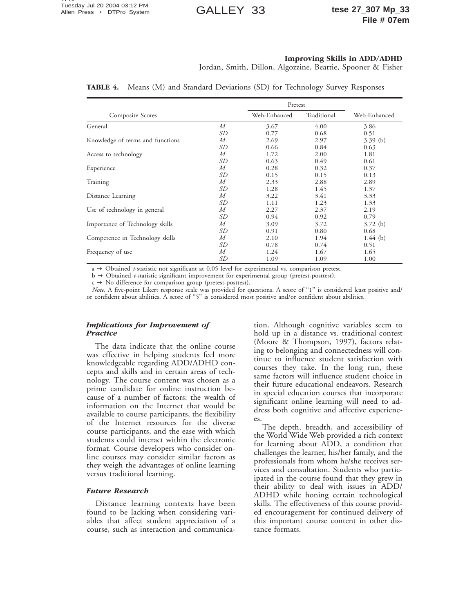### **Improving Skills in ADD/ADHD**

Jordan, Smith, Dillon, Algozzine, Beattie, Spooner & Fisher

|                                  |    | Pretest      |             |              |
|----------------------------------|----|--------------|-------------|--------------|
| Composite Scores                 |    | Web-Enhanced | Traditional | Web-Enhanced |
| General                          | М  | 3.67         | 4.00        | 3.86         |
|                                  | SD | 0.77         | 0.68        | 0.51         |
| Knowledge of terms and functions | М  | 2.69         | 2.97        | $3.39$ (b)   |
|                                  | SD | 0.66         | 0.84        | 0.63         |
| Access to technology             | М  | 1.72         | 2.00        | 1.81         |
|                                  | SD | 0.63         | 0.49        | 0.61         |
| Experience                       | М  | 0.28         | 0.32        | 0.37         |
|                                  | SD | 0.15         | 0.15        | 0.13         |
| Training                         | М  | 2.33         | 2.88        | 2.89         |
|                                  | SD | 1.28         | 1.45        | 1.37         |
| Distance Learning                | М  | 3.22         | 3.41        | 3.33         |
|                                  | SD | 1.11         | 1.23        | 1.33         |
| Use of technology in general     | М  | 2.27         | 2.37        | 2.19         |
|                                  | SD | 0.94         | 0.92        | 0.79         |
| Importance of Technology skills  | М  | 3.09         | 3.72        | 3.72~(b)     |
|                                  | SD | 0.91         | 0.80        | 0.68         |
| Competence in Technology skills  | М  | 2.10         | 1.94        | 1.44~(b)     |
|                                  | SD | 0.78         | 0.74        | 0.51         |
| Frequency of use                 | М  | 1.24         | 1.67        | 1.65         |
|                                  | SD | 1.09         | 1.09        | 1.00         |

### **TABLE 4.** Means (M) and Standard Deviations (SD) for Technology Survey Responses

a → Obtained *t*-statistic not significant at 0.05 level for experimental vs. comparison pretest.

b → Obtained *t*-statistic significant improvement for experimental group (pretest-posttest).

 $\mathsf{c}\to\mathsf{No}$  difference for comparison group (pretest-posttest).

*Note.* A five-point Likert response scale was provided for questions. A score of ''1'' is considered least positive and/ or confident about abilities. A score of ''5'' is considered most positive and/or confident about abilities.

### *Implications for Improvement of Practice*

The data indicate that the online course was effective in helping students feel more knowledgeable regarding ADD/ADHD concepts and skills and in certain areas of technology. The course content was chosen as a prime candidate for online instruction because of a number of factors: the wealth of information on the Internet that would be available to course participants, the flexibility of the Internet resources for the diverse course participants, and the ease with which students could interact within the electronic format. Course developers who consider online courses may consider similar factors as they weigh the advantages of online learning versus traditional learning.

### *Future Research*

Distance learning contexts have been found to be lacking when considering variables that affect student appreciation of a course, such as interaction and communica-

tion. Although cognitive variables seem to hold up in a distance vs. traditional contest (Moore & Thompson, 1997), factors relating to belonging and connectedness will continue to influence student satisfaction with courses they take. In the long run, these same factors will influence student choice in their future educational endeavors. Research in special education courses that incorporate significant online learning will need to address both cognitive and affective experiences.

The depth, breadth, and accessibility of the World Wide Web provided a rich context for learning about ADD, a condition that challenges the learner, his/her family, and the professionals from whom he/she receives services and consultation. Students who participated in the course found that they grew in their ability to deal with issues in ADD/ ADHD while honing certain technological skills. The effectiveness of this course provided encouragement for continued delivery of this important course content in other distance formats.